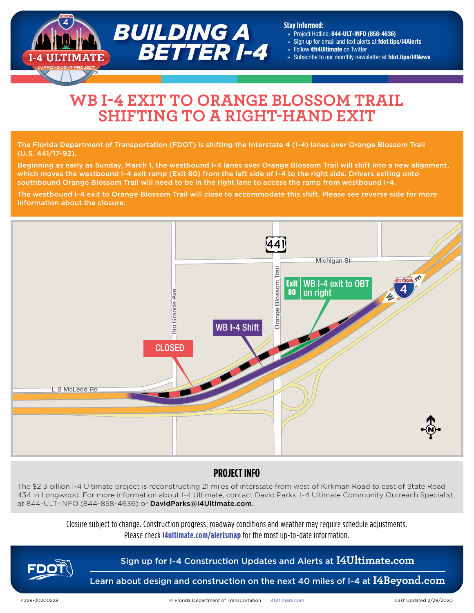

#### **Stay Informed:**

- » Project Hotline: 844-ULT-INFO (858-4636)
- » Sign up for email and text alerts at fdot.tips/I4Alerts
- » Follow @i4Ultimate on Twitter
- » Subscribe to our monthly newsletter at fdot.tips/I4News

# **WB I-4 EXIT TO ORANGE BLOSSOM TRAIL SHIFTING TO A RIGHT-HAND EXIT**

The Florida Department of Transportation (FDOT) is shifting the Interstate 4 (I-4) lanes over Orange Blossom Trail (U.S. 441/17-92).

Beginning as early as Sunday, March 1, the westbound I-4 lanes over Orange Blossom Trail will shift into a new alignment, which moves the westbound I-4 exit ramp (Exit 80) from the left side of I-4 to the right side. Drivers exiting onto southbound Orange Blossom Trail will need to be in the right lane to access the ramp from westbound I-4.

The westbound I-4 exit to Orange Blossom Trail will close to accommodate this shift. Please see reverse side for more information about the closure.



## **PROJECT INFO**

The \$2.3 billion I-4 Ultimate project is reconstructing 21 miles of interstate from west of Kirkman Road to east of State Road 434 in Longwood. For more information about I-4 Ultimate, contact David Parks, I-4 Ultimate Community Outreach Specialist, at 844-ULT-INFO (844-858-4636) or DavidParks@i4Ultimate.com.

> Closure subject to change. Construction progress, roadway conditions and weather may require schedule adjustments. Please check **i4ultimate.com/alertsmap** for the most up-to-date information.



Sign up for I-4 Construction Updates and Alerts at **I4Ultimate.com**

Learn about design and construction on the next 40 miles of I-4 at **I4Beyond.com**